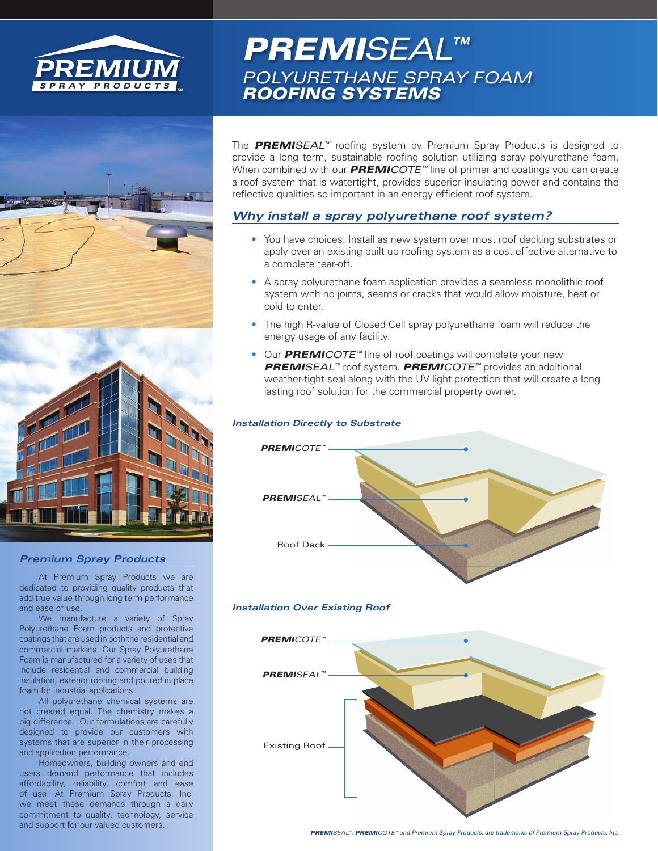



#### *Premium Spray Products*

At Premium Spray Products we are dedicated to providing quality products that add true value through long term performance and ease of use.

We manufacture a variety of Spray Polyurethane Foam products and protective coatings that are used in both the residential and commercial markets. Our Spray Polyurethane Foam is manufactured for a variety of uses that include residential and commercial building insulation, exterior roofing and poured in place foam for industrial applications.

All polyurethane chemical systems are not created equal. The chemistry makes a big difference. Our formulations are carefully designed to provide our customers with systems that are superior in their processing and application performance.

Homeowners, building owners and end users demand performance that includes affordability, reliability, comfort and ease of use. At Premium Spray Products, Inc. we meet these demands through a daily commitment to quality, technology, service and support for our valued customers.

# *PREMISEAL™ POLYURETHANE SPRAY FOAM ROOFING SYSTEMS*

The *PREMISEAL™* roofing system by Premium Spray Products is designed to provide a long term, sustainable roofing solution utilizing spray polyurethane foam. When combined with our *PREMICOTE™* line of primer and coatings you can create a roof system that is watertight, provides superior insulating power and contains the reflective qualities so important in an energy efficient roof system.

### *Why install a spray polyurethane roof system?*

- You have choices: Install as new system over most roof decking substrates or apply over an existing built up roofing system as a cost effective alternative to a complete tear-off.
- A spray polyurethane foam application provides a seamless monolithic roof system with no joints, seams or cracks that would allow moisture, heat or cold to enter.
- The high R-value of Closed Cell spray polyurethane foam will reduce the energy usage of any facility.
- Our *PREMICOTE™* line of roof coatings will complete your new *PREMISEAL™* roof system. *PREMICOTE™* provides an additional weather-tight seal along with the UV light protection that will create a long lasting roof solution for the commercial property owner.

#### *Installation Directly to Substrate*



#### *Installation Over Existing Roof*